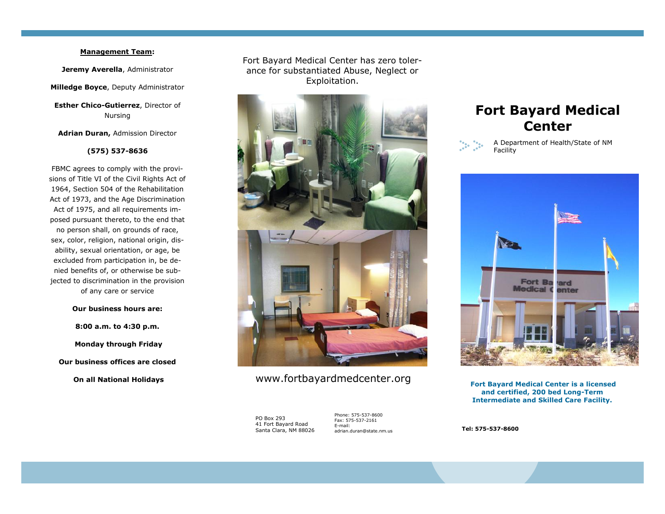## **Management Team:**

**Jeremy Averella**, Administrator

**Milledge Boyce**, Deputy Administrator

**Esther Chico-Gutierrez**, Director of Nursing

**Adrian Duran,** Admission Director

#### **(575) 537-8636**

FBMC agrees to comply with the provisions of Title VI of the Civil Rights Act of 1964, Section 504 of the Rehabilitation Act of 1973, and the Age Discrimination Act of 1975, and all requirements imposed pursuant thereto, to the end that no person shall, on grounds of race, sex, color, religion, national origin, disability, sexual orientation, or age, be excluded from participation in, be denied benefits of, or otherwise be subjected to discrimination in the provision of any care or service

### **Our business hours are:**

**8:00 a.m. to 4:30 p.m. Monday through Friday Our business offices are closed On all National Holidays**

Fort Bayard Medical Center has zero tolerance for substantiated Abuse, Neglect or Exploitation.



# www.fortbayardmedcenter.org

PO Box 293 41 Fort Bayard Road Santa Clara, NM 88026

Phone: 575-537-8600 Fax: 575-537-2161 E-mail: adrian.duran@state.nm.us

# **Fort Bayard Medical Center**



#### A Department of Health/State of NM Facility



**Fort Bayard Medical Center is a licensed and certified, 200 bed Long-Term Intermediate and Skilled Care Facility.** 

**Tel: 575-537-8600**